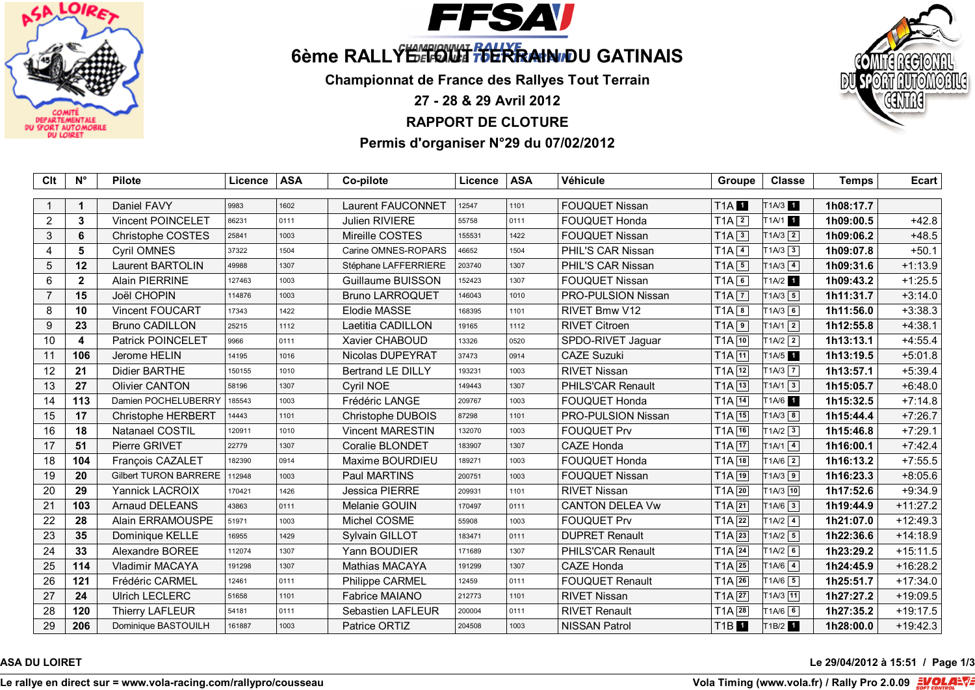



# 6ème RALLY<sup>E MARIO</sup> WITH TO TRAIN DU GATINAIS

**Championnat de France des Rallyes Tout Terrain**

**27 - 28 & 29 Avril 2012**

# **RAPPORT DE CLOTURE**

# **Permis d'organiser N°29 du 07/02/2012**



**ASA DU LOIRET** Le 29/04/2012 à 15:51 / Page 1/3

**Le rallye en direct sur = www.vola-racing.com/rallypro/cousseau Vola Timing (www.vola.fr) / Rally Pro 2.0.09**

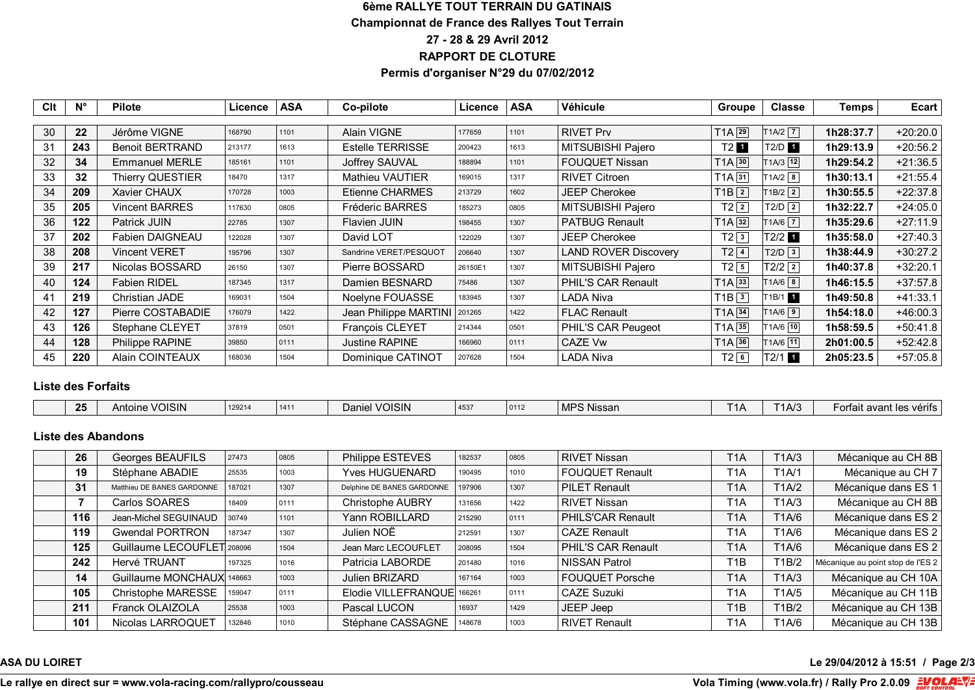### **6ème RALLYE TOUT TERRAIN DU GATINAIS Championnat de France des Rallyes Tout Terrain 27 - 28 & 29 Avril 2012 RAPPORT DE CLOTURE Permis d'organiser N°29 du 07/02/2012**

| Clt | $N^{\circ}$ | <b>Pilote</b>          | Licence | <b>ASA</b> | Co-pilote               | Licence | <b>ASA</b> | <b>Véhicule</b>             | <b>Groupe</b>       | <b>Classe</b>           | Temps     | Ecart      |
|-----|-------------|------------------------|---------|------------|-------------------------|---------|------------|-----------------------------|---------------------|-------------------------|-----------|------------|
|     |             |                        |         |            |                         |         |            |                             |                     |                         |           |            |
| 30  | 22          | Jérôme VIGNE           | 168790  | 1101       | <b>Alain VIGNE</b>      | 177659  | 1101       | <b>RIVET Prv</b>            | $T1A$ <sup>29</sup> | $T1A/2$ $\boxed{7}$     | 1h28:37.7 | $+20:20.0$ |
| 31  | 243         | <b>Benoit BERTRAND</b> | 213177  | 1613       | <b>Estelle TERRISSE</b> | 200423  | 1613       | MITSUBISHI Pajero           | T2 <b>1</b>         | T2/D 1                  | 1h29:13.9 | $+20:56.2$ |
| 32  | 34          | <b>Emmanuel MERLE</b>  | 185161  | 1101       | Joffrey SAUVAL          | 188894  | 1101       | <b>FOUQUET Nissan</b>       | $T1A$ 30            | $1A/3$ 12               | 1h29:54.2 | $+21:36.5$ |
| 33  | 32          | Thierry QUESTIER       | 18470   | 1317       | <b>Mathieu VAUTIER</b>  | 169015  | 1317       | <b>RIVET Citroen</b>        | $T1A$ $31$          | $1A/2$ 8                | 1h30:13.1 | $+21:55.4$ |
| 34  | 209         | Xavier CHAUX           | 170728  | 1003       | Etienne CHARMES         | 213729  | 1602       | <b>JEEP Cherokee</b>        | $T1B$ <sup>2</sup>  | $T1B/2$ 2               | 1h30:55.5 | $+22:37.8$ |
| 35  | 205         | <b>Vincent BARRES</b>  | 117630  | 0805       | Fréderic BARRES         | 185273  | 0805       | MITSUBISHI Pajero           | $T2$ <sup>2</sup>   | $T2/D$ $2$              | 1h32:22.7 | $+24:05.0$ |
| 36  | 122         | Patrick JUIN           | 22785   | 1307       | <b>Flavien JUIN</b>     | 198455  | 1307       | <b>PATBUG Renault</b>       | $T1A$ 32            | $1A/6$ 7                | 1h35:29.6 | $+27:11.9$ |
| 37  | 202         | <b>Fabien DAIGNEAU</b> | 122028  | 1307       | David LOT               | 122029  | 1307       | JEEP Cherokee               | $T2\sqrt{3}$        | T2/2 1                  | 1h35:58.0 | $+27:40.3$ |
| 38  | 208         | <b>Vincent VERET</b>   | 195796  | 1307       | Sandrine VERET/PESQUOT  | 206640  | 1307       | <b>LAND ROVER Discovery</b> | $T2$ $4$            | $T2/D$ 3                | 1h38:44.9 | $+30:27.2$ |
| 39  | 217         | Nicolas BOSSARD        | 26150   | 1307       | Pierre BOSSARD          | 26150E1 | 1307       | MITSUBISHI Pajero           | $T2\sqrt{5}$        | $T2/2$ $\boxed{2}$      | 1h40:37.8 | $+32:20.1$ |
| 40  | 124         | <b>Fabien RIDEL</b>    | 187345  | 1317       | Damien BESNARD          | 75486   | 1307       | <b>PHIL'S CAR Renault</b>   | $T1A$ 33            | $T1A/6$ $\boxed{8}$     | 1h46:15.5 | $+37:57.8$ |
| 41  | 219         | Christian JADE         | 169031  | 1504       | Noelyne FOUASSE         | 183945  | 1307       | LADA Niva                   | $T1B$ <sup>3</sup>  | $1B/1$ 1                | 1h49:50.8 | $+41:33.1$ |
| 42  | 127         | Pierre COSTABADIE      | 176079  | 1422       | Jean Philippe MARTINI   | 201265  | 1422       | <b>FLAC Renault</b>         | $T1A$ 34            | $T1A/6$ $9$             | 1h54:18.0 | $+46:00.3$ |
| 43  | 126         | Stephane CLEYET        | 37819   | 0501       | François CLEYET         | 214344  | 0501       | PHIL'S CAR Peugeot          | $T1A$ 35            | T1A/6 10                | 1h58:59.5 | $+50:41.8$ |
| 44  | 128         | Philippe RAPINE        | 39850   | 0111       | Justine RAPINE          | 166960  | 0111       | CAZE Vw                     | $T1A$ 36            | $\lceil 1A/6 \rceil$ 11 | 2h01:00.5 | $+52:42.8$ |
| 45  | 220         | <b>Alain COINTEAUX</b> | 168036  | 1504       | Dominique CATINOT       | 207628  | 1504       | LADA Niva                   | $T2$ 6              | T2/1 1                  | 2h05:23.5 | $+57:05.8$ |

#### **Liste des Forfaits**

| つに<br>zə | VOISIN<br>Antoir | 120214<br>14941 | 1411 | 'OISIN<br>$\Delta$ aniel<br>$\overline{M}$ | 4537 | 0112 | MPS Nissan | $\mathbf{r}$ |  | t avant les vérifs.<br>$ \sim$ r+c<br>- 00 12 |
|----------|------------------|-----------------|------|--------------------------------------------|------|------|------------|--------------|--|-----------------------------------------------|
|----------|------------------|-----------------|------|--------------------------------------------|------|------|------------|--------------|--|-----------------------------------------------|

#### **Liste des Abandons**

| 26  | Georges BEAUFILS           | 27473  | 0805 | Philippe ESTEVES           | 182537 | 0805 | <b>RIVET Nissan</b>    | T <sub>1</sub> A | T1A/3 | Mécanique au CH 8B                |
|-----|----------------------------|--------|------|----------------------------|--------|------|------------------------|------------------|-------|-----------------------------------|
| 19  | Stéphane ABADIE            | 25535  | 1003 | <b>Yves HUGUENARD</b>      | 190495 | 1010 | <b>FOUQUET Renault</b> | T <sub>1</sub> A | T1A/1 | Mécanique au CH 7                 |
| 31  | Matthieu DE BANES GARDONNE | 187021 | 1307 | Delphine DE BANES GARDONNE | 197906 | 1307 | <b>PILET Renault</b>   | T <sub>1</sub> A | TA/2  | Mécanique dans ES 1               |
|     | Carlos SOARES              | 18409  | 0111 | <b>Christophe AUBRY</b>    | 131656 | 1422 | <b>RIVET Nissan</b>    | T <sub>1</sub> A | T1A/3 | Mécanique au CH 8B                |
| 116 | Jean-Michel SEGUINAUD      | 30749  | 1101 | Yann ROBILLARD             | 215290 | 0111 | PHILS'CAR Renault      | T <sub>1</sub> A | T1A/6 | Mécanique dans ES 2               |
| 119 | <b>Gwendal PORTRON</b>     | 187347 | 1307 | Julien NOË                 | 212591 | 1307 | <b>CAZE Renault</b>    | T <sub>1</sub> A | T1A/6 | Mécanique dans ES 2               |
| 125 | Guillaume LECOUFLET 208096 |        | 1504 | Jean Marc LECOUFLET        | 208095 | 1504 | PHIL'S CAR Renault     | T <sub>1</sub> A | T1A/6 | Mécanique dans ES 2               |
| 242 | Hervé TRUANT               | 197325 | 1016 | Patricia LABORDE           | 201480 | 1016 | <b>NISSAN Patrol</b>   | T <sub>1</sub> B | T1B/2 | Mécanique au point stop de l'ES 2 |
| 14  | Guillaume MONCHAUX 148663  |        | 1003 | Julien BRIZARD             | 167164 | 1003 | <b>FOUQUET Porsche</b> | T <sub>1</sub> A | T1A/3 | Mécanique au CH 10A               |
| 105 | Christophe MARESSE         | 159047 | 0111 | Elodie VILLEFRANQUE 166261 |        | 0111 | <b>CAZE Suzuki</b>     | T <sub>1</sub> A | T1A/5 | Mécanique au CH 11B               |
| 211 | Franck OLAIZOLA            | 25538  | 1003 | Pascal LUCON               | 16937  | 1429 | JEEP Jeep              | T <sub>1</sub> B | T1B/2 | Mécanique au CH 13B               |
| 101 | Nicolas LARROQUET          | 132846 | 1010 | Stéphane CASSAGNE          | 148678 | 1003 | <b>RIVET Renault</b>   | T <sub>1</sub> A | T1A/6 | Mécanique au CH 13B               |

# **ASA DU LOIRET** Le 29/04/2012 à 15:51 / Page 2/3

#### **Le rallye en direct sur = www.vola-racing.com/rallypro/cousseau Vola Timing (www.vola.fr) / Rally Pro 2.0.09**